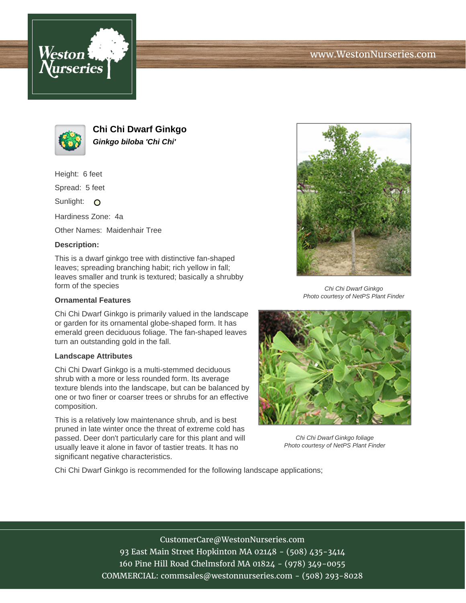



**Chi Chi Dwarf Ginkgo Ginkgo biloba 'Chi Chi'**

Height: 6 feet

Spread: 5 feet

Sunlight: O

Hardiness Zone: 4a

Other Names: Maidenhair Tree

## **Description:**

This is a dwarf ginkgo tree with distinctive fan-shaped leaves; spreading branching habit; rich yellow in fall; leaves smaller and trunk is textured; basically a shrubby form of the species

## **Ornamental Features**

Chi Chi Dwarf Ginkgo is primarily valued in the landscape or garden for its ornamental globe-shaped form. It has emerald green deciduous foliage. The fan-shaped leaves turn an outstanding gold in the fall.

## **Landscape Attributes**

Chi Chi Dwarf Ginkgo is a multi-stemmed deciduous shrub with a more or less rounded form. Its average texture blends into the landscape, but can be balanced by one or two finer or coarser trees or shrubs for an effective composition.

This is a relatively low maintenance shrub, and is best pruned in late winter once the threat of extreme cold has passed. Deer don't particularly care for this plant and will usually leave it alone in favor of tastier treats. It has no significant negative characteristics.



Chi Chi Dwarf Ginkgo Photo courtesy of NetPS Plant Finder



Chi Chi Dwarf Ginkgo foliage Photo courtesy of NetPS Plant Finder

Chi Chi Dwarf Ginkgo is recommended for the following landscape applications;

CustomerCare@WestonNurseries.com 93 East Main Street Hopkinton MA 02148 - (508) 435-3414 160 Pine Hill Road Chelmsford MA 01824 - (978) 349-0055 COMMERCIAL: commsales@westonnurseries.com - (508) 293-8028